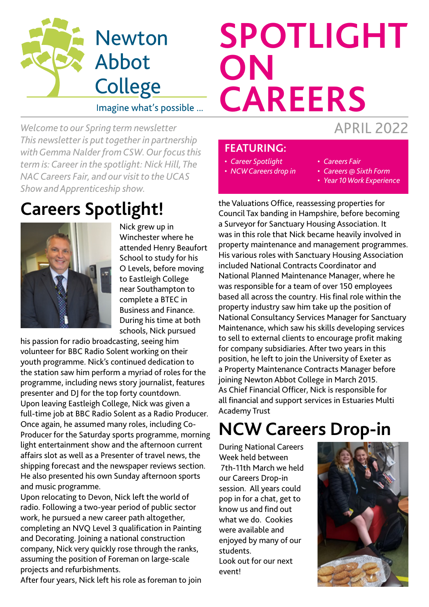

#### Imagine what's possible ...

*Welcome to our Spring term newsletter This newsletter is put together in partnership with Gemma Nalder from CSW. Our focus this term is: Career in the spotlight: Nick Hill, The NAC Careers Fair, and our visit to the UCAS Show and Apprenticeship show.*

#### **Careers Spotlight!**



Nick grew up in Winchester where he attended Henry Beaufort School to study for his O Levels, before moving to Eastleigh College near Southampton to complete a BTEC in Business and Finance. During his time at both schools, Nick pursued

his passion for radio broadcasting, seeing him volunteer for BBC Radio Solent working on their youth programme. Nick's continued dedication to the station saw him perform a myriad of roles for the programme, including news story journalist, features presenter and DJ for the top forty countdown. Upon leaving Eastleigh College, Nick was given a full-time job at BBC Radio Solent as a Radio Producer. Once again, he assumed many roles, including Co-Producer for the Saturday sports programme, morning light entertainment show and the afternoon current affairs slot as well as a Presenter of travel news, the shipping forecast and the newspaper reviews section. He also presented his own Sunday afternoon sports and music programme.

Upon relocating to Devon, Nick left the world of radio. Following a two-year period of public sector work, he pursued a new career path altogether, completing an NVQ Level 3 qualification in Painting and Decorating. Joining a national construction company, Nick very quickly rose through the ranks, assuming the position of Foreman on large-scale projects and refurbishments.

After four years, Nick left his role as foreman to join

# APRIL 2022 **SPOTLIGHT ON CAREERS**

#### **FEATURING:**

- *• Career Spotlight*
- *• NCW Careers drop in*
- *• Careers Fair*
- *• Careers @ Sixth Form*
- *• Year 10 Work Experience*

the Valuations Office, reassessing properties for Council Tax banding in Hampshire, before becoming a Surveyor for Sanctuary Housing Association. It was in this role that Nick became heavily involved in property maintenance and management programmes. His various roles with Sanctuary Housing Association included National Contracts Coordinator and National Planned Maintenance Manager, where he was responsible for a team of over 150 employees based all across the country. His final role within the property industry saw him take up the position of National Consultancy Services Manager for Sanctuary Maintenance, which saw his skills developing services to sell to external clients to encourage profit making for company subsidiaries. After two years in this position, he left to join the University of Exeter as a Property Maintenance Contracts Manager before joining Newton Abbot College in March 2015. As Chief Financial Officer, Nick is responsible for all financial and support services in Estuaries Multi Academy Trust

### **NCW Careers Drop-in**

During National Careers Week held between 7th-11th March we held our Careers Drop-in session. All years could pop in for a chat, get to know us and find out what we do. Cookies were available and enjoyed by many of our students. Look out for our next

event!